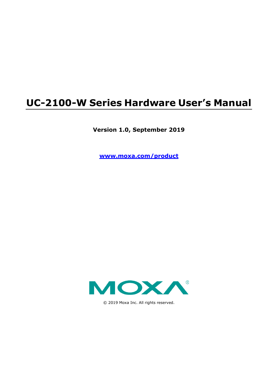# **UC-2100-W Series Hardware User's Manual**

**Version 1.0, September 2019**

**www.moxa.com/product**



© 2019 Moxa Inc. All rights reserved.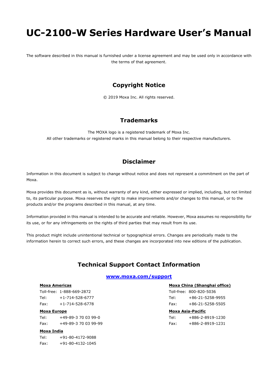# **UC-2100-W Series Hardware User's Manual**

The software described in this manual is furnished under a license agreement and may be used only in accordance with the terms of that agreement.

#### **Copyright Notice**

© 2019 Moxa Inc. All rights reserved.

#### **Trademarks**

The MOXA logo is a registered trademark of Moxa Inc. All other trademarks or registered marks in this manual belong to their respective manufacturers.

### **Disclaimer**

Information in this document is subject to change without notice and does not represent a commitment on the part of Moxa.

Moxa provides this document as is, without warranty of any kind, either expressed or implied, including, but not limited to, its particular purpose. Moxa reserves the right to make improvements and/or changes to this manual, or to the products and/or the programs described in this manual, at any time.

Information provided in this manual is intended to be accurate and reliable. However, Moxa assumes no responsibility for its use, or for any infringements on the rights of third parties that may result from its use.

This product might include unintentional technical or typographical errors. Changes are periodically made to the information herein to correct such errors, and these changes are incorporated into new editions of the publication.

### **Technical Support Contact Information**

#### **www.moxa.com/support**

#### **Moxa Americas**

Toll-free: 1-888-669-2872 Tel: +1-714-528-6777 Fax: +1-714-528-6778

#### **Moxa Europe**

Tel: +49-89-3 70 03 99-0 Fax: +49-89-3 70 03 99-99

#### **Moxa India**

| Tel: | +91-80-4172-9088 |
|------|------------------|
| Fax: | +91-80-4132-1045 |

#### **Moxa China (Shanghai office)**

Toll-free: 800-820-5036 Tel: +86-21-5258-9955 Fax: +86-21-5258-5505

#### **Moxa Asia-Pacific**

| Tel: | +886-2-8919-1230 |
|------|------------------|
| Fax: | +886-2-8919-1231 |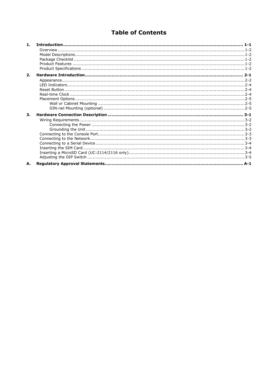### **Table of Contents**

| 1 <sub>1</sub> |  |
|----------------|--|
|                |  |
|                |  |
|                |  |
|                |  |
|                |  |
| 2.             |  |
|                |  |
|                |  |
|                |  |
|                |  |
|                |  |
|                |  |
|                |  |
| 3.             |  |
|                |  |
|                |  |
|                |  |
|                |  |
|                |  |
|                |  |
|                |  |
|                |  |
|                |  |
| А.             |  |
|                |  |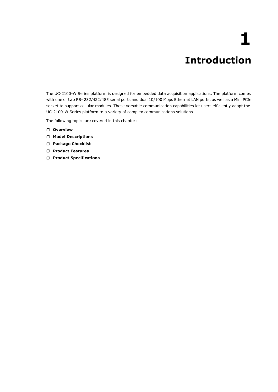<span id="page-3-0"></span>The UC-2100-W Series platform is designed for embedded data acquisition applications. The platform comes with one or two RS- 232/422/485 serial ports and dual 10/100 Mbps Ethernet LAN ports, as well as a Mini PCIe socket to support cellular modules. These versatile communication capabilities let users efficiently adapt the UC-2100-W Series platform to a variety of complex communications solutions.

The following topics are covered in this chapter:

- **[Overview](#page-4-0)**
- **[Model Descriptions](#page-4-1)**
- **[Package Checklist](#page-4-2)**
- **[Product Features](#page-4-3)**
- **[Product Specifications](#page-4-4)**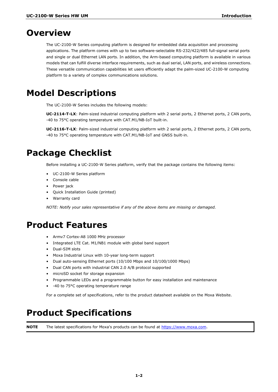### <span id="page-4-0"></span>**Overview**

The UC-2100-W Series computing platform is designed for embedded data acquisition and processing applications. The platform comes with up to two software-selectable RS-232/422/485 full-signal serial ports and single or dual Ethernet LAN ports. In addition, the Arm-based computing platform is available in various models that can fulfill diverse interface requirements, such as dual serial, LAN ports, and wireless connections. These versatile communication capabilities let users efficiently adapt the palm-sized UC-2100-W computing platform to a variety of complex communications solutions.

## <span id="page-4-1"></span>**Model Descriptions**

The UC-2100-W Series includes the following models:

**UC-2114-T-LX**: Palm-sized industrial computing platform with 2 serial ports, 2 Ethernet ports, 2 CAN ports, -40 to 75°C operating temperature with CAT.M1/NB-IoT built-in.

**UC-2116-T-LX**: Palm-sized industrial computing platform with 2 serial ports, 2 Ethernet ports, 2 CAN ports, -40 to 75°C operating temperature with CAT.M1/NB-IoT and GNSS built-in.

# <span id="page-4-2"></span>**Package Checklist**

Before installing a UC-2100-W Series platform, verify that the package contains the following items:

- UC-2100-W Series platform
- Console cable
- Power jack
- Quick Installation Guide (printed)
- Warranty card

*NOTE: Notify your sales representative if any of the above items are missing or damaged.*

### <span id="page-4-3"></span>**Product Features**

- Armv7 Cortex-A8 1000 MHz processor
- Integrated LTE Cat. M1/NB1 module with global band support
- Dual-SIM slots
- Moxa Industrial Linux with 10-year long-term support
- Dual auto-sensing Ethernet ports (10/100 Mbps and 10/100/1000 Mbps)
- Dual CAN ports with industrial CAN 2.0 A/B protocol supported
- microSD socket for storage expansion
- Programmable LEDs and a programmable button for easy installation and maintenance
- -40 to 75°C operating temperature range

For a complete set of specifications, refer to the product datasheet available on the Moxa Website.

# <span id="page-4-4"></span>**Product Specifications**

**NOTE** The latest specifications for Moxa's products can be found at [https://www.moxa.com.](https://www.moxa.com/)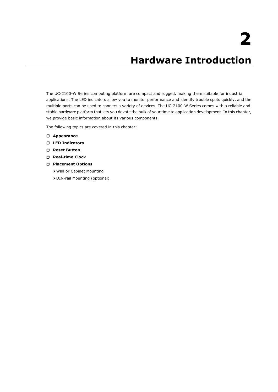# **2. Hardware Introduction**

<span id="page-5-0"></span>The UC-2100-W Series computing platform are compact and rugged, making them suitable for industrial applications. The LED indicators allow you to monitor performance and identify trouble spots quickly, and the multiple ports can be used to connect a variety of devices. The UC-2100-W Series comes with a reliable and stable hardware platform that lets you devote the bulk of your time to application development. In this chapter, we provide basic information about its various components.

The following topics are covered in this chapter:

- **[Appearance](#page-6-0)**
- **[LED Indicators](#page-8-0)**
- **Reset [Button](#page-8-1)**
- **[Real-time Clock](#page-8-2)**
- **[Placement Options](#page-9-0)**
	- [Wall or Cabinet](#page-9-1) Mounting
	- [DIN-rail Mounting \(optional\)](#page-9-2)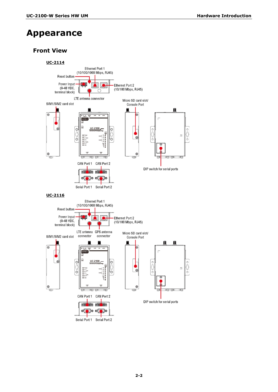# <span id="page-6-0"></span>**Appearance**

### **Front View**

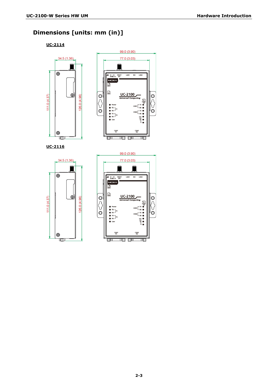### **Dimensions [units: mm (in)]**

**UC-2114**

111.0 (4.37)

111.0 (4.37)

 $\circledast$ UUUI.





 $\circledcirc$ 

 $(26.0 (4.96))$ 



 $\circledcirc$ 

Ĉ

 $\check{\circ}$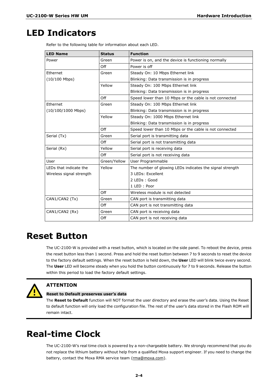## <span id="page-8-0"></span>**LED Indicators**

| <b>LED Name</b>          | <b>Status</b>                             | <b>Function</b>                                          |  |
|--------------------------|-------------------------------------------|----------------------------------------------------------|--|
| Power                    | Green                                     | Power is on, and the device is functioning normally      |  |
|                          | Off                                       | Power is off                                             |  |
| Ethernet                 | Green                                     | Steady On: 10 Mbps Ethernet link                         |  |
| $(10/100$ Mbps)          |                                           | Blinking: Data transmission is in progress               |  |
|                          | Yellow                                    | Steady On: 100 Mbps Ethernet link                        |  |
|                          |                                           | Blinking: Data transmission is in progress               |  |
|                          | Off                                       | Speed lower than 10 Mbps or the cable is not connected   |  |
| Ethernet                 | Green                                     | Steady On: 100 Mbps Ethernet link                        |  |
| $(10/100/1000$ Mbps)     |                                           | Blinking: Data transmission is in progress               |  |
|                          | Yellow                                    | Steady On: 1000 Mbps Ethernet link                       |  |
|                          |                                           | Blinking: Data transmission is in progress               |  |
|                          | Off                                       | Speed lower than 10 Mbps or the cable is not connected   |  |
| Serial (Tx)              | Serial port is transmitting data<br>Green |                                                          |  |
|                          | Off                                       | Serial port is not transmitting data                     |  |
| Serial (Rx)              | Yellow                                    | Serial port is receiving data                            |  |
|                          | Off                                       | Serial port is not receiving data                        |  |
| User                     | Green/Yellow                              | User Programmable                                        |  |
| LEDs that indicate the   | Yellow                                    | The number of glowing LEDs indicates the signal strength |  |
| Wireless signal strength |                                           | 3 LEDs: Excellent                                        |  |
|                          |                                           | 2 LEDs: Good                                             |  |
|                          |                                           | 1 LED: Poor                                              |  |
|                          | Off                                       | Wireless module is not detected                          |  |
| CAN1/CAN2 (Tx)<br>Green  |                                           | CAN port is transmitting data                            |  |
|                          | Off                                       | CAN port is not transmitting data                        |  |
| CAN1/CAN2 (Rx)           | Green                                     | CAN port is receiving data                               |  |
|                          | Off                                       | CAN port is not receiving data                           |  |

### <span id="page-8-1"></span>**Reset Button**

The UC-2100-W is provided with a reset button, which is located on the side panel. To reboot the device, press the reset button less than 1 second. Press and hold the reset button between 7 to 9 seconds to reset the device to the factory default settings. When the reset button is held down, the **User** LED will blink twice every second. The **User** LED will become steady when you hold the button continuously for 7 to 9 seconds. Release the button within this period to load the factory default settings.



#### **ATTENTION**

#### **Reset to Default preserves user's data**

The **Reset to Default** function will NOT format the user directory and erase the user's data. Using the Reset to default function will only load the configuration file. The rest of the user's data stored in the Flash ROM will remain intact.

# <span id="page-8-2"></span>**Real-time Clock**

The UC-2100-W's real time clock is powered by a non-chargeable battery. We strongly recommend that you do not replace the lithium battery without help from a qualified Moxa support engineer. If you need to change the battery, contact the Moxa RMA service team [\(rma@moxa.com\)](mailto:rma@moxa.com).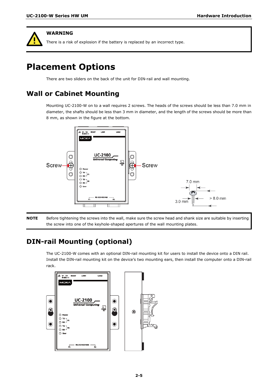#### **WARNING**

There is a risk of explosion if the battery is replaced by an incorrect type.

# <span id="page-9-0"></span>**Placement Options**

There are two sliders on the back of the unit for DIN-rail and wall mounting.

### <span id="page-9-1"></span>**Wall or Cabinet Mounting**

Mounting UC-2100-W on to a wall requires 2 screws. The heads of the screws should be less than 7.0 mm in diameter, the shafts should be less than 3 mm in diameter, and the length of the screws should be more than 8 mm, as shown in the figure at the bottom.



**NOTE** Before tightening the screws into the wall, make sure the screw head and shank size are suitable by inserting the screw into one of the keyhole-shaped apertures of the wall mounting plates.

### <span id="page-9-2"></span>**DIN-rail Mounting (optional)**

The UC-2100-W comes with an optional DIN-rail mounting kit for users to install the device onto a DIN rail. Install the DIN-rail mounting kit on the device's two mounting ears, then install the computer onto a DIN-rail rack.

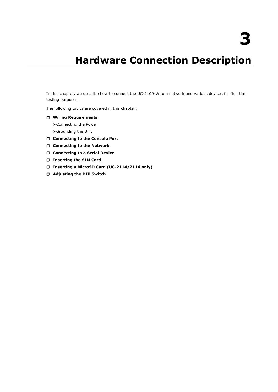# **3. Hardware Connection Description**

<span id="page-10-0"></span>In this chapter, we describe how to connect the UC-2100-W to a network and various devices for first time testing purposes.

The following topics are covered in this chapter:

- **[Wiring Requirements](#page-11-0)**
	- [Connecting the Power](#page-11-1)

[Grounding the Unit](#page-11-2)

- **[Connecting to the Console Port](#page-12-0)**
- **[Connecting to the Network](#page-12-1)**
- **[Connecting to a Serial Device](#page-13-0)**
- **[Inserting the SIM](#page-13-1) Card**
- **[Inserting a MicroSD Card \(UC-2114/2116 only\)](#page-13-2)**
- **[Adjusting the DIP Switch](#page-14-0)**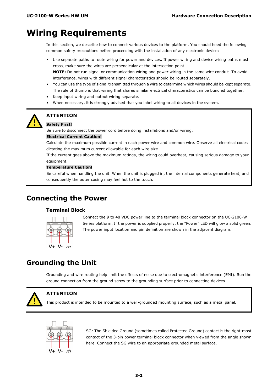### <span id="page-11-0"></span>**Wiring Requirements**

In this section, we describe how to connect various devices to the platform. You should heed the following common safety precautions before proceeding with the installation of any electronic device:

- Use separate paths to route wiring for power and devices. If power wiring and device wiring paths must cross, make sure the wires are perpendicular at the intersection point. **NOTE:** Do not run signal or communication wiring and power wiring in the same wire conduit. To avoid interference, wires with different signal characteristics should be routed separately.
- You can use the type of signal transmitted through a wire to determine which wires should be kept separate. The rule of thumb is that wiring that shares similar electrical characteristics can be bundled together.
- Keep input wiring and output wiring separate.
- When necessary, it is strongly advised that you label wiring to all devices in the system.



#### **ATTENTION**

#### **Safety First!**

Be sure to disconnect the power cord before doing installations and/or wiring.

#### **Electrical Current Caution!**

Calculate the maximum possible current in each power wire and common wire. Observe all electrical codes dictating the maximum current allowable for each wire size.

If the current goes above the maximum ratings, the wiring could overheat, causing serious damage to your equipment.

#### **Temperature Caution!**

Be careful when handling the unit. When the unit is plugged in, the internal components generate heat, and consequently the outer casing may feel hot to the touch.

### <span id="page-11-1"></span>**Connecting the Power**

#### **Terminal Block**



Connect the 9 to 48 VDC power line to the terminal block connector on the UC-2100-W Series platform. If the power is supplied properly, the "Power" LED will glow a solid green. The power input location and pin definition are shown in the adjacent diagram.

### <span id="page-11-2"></span>**Grounding the Unit**

Grounding and wire routing help limit the effects of noise due to electromagnetic interference (EMI). Run the ground connection from the ground screw to the grounding surface prior to connecting devices.



#### **ATTENTION**

This product is intended to be mounted to a well-grounded mounting surface, such as a metal panel.



SG: The Shielded Ground (sometimes called Protected Ground) contact is the right-most contact of the 3-pin power terminal block connector when viewed from the angle shown here. Connect the SG wire to an appropriate grounded metal surface.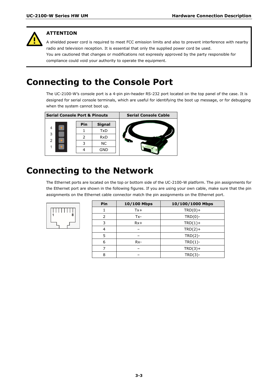

#### **ATTENTION**

A shielded power cord is required to meet FCC emission limits and also to prevent interference with nearby radio and television reception. It is essential that only the supplied power cord be used. You are cautioned that changes or modifications not expressly approved by the party responsible for compliance could void your authority to operate the equipment.

# <span id="page-12-0"></span>**Connecting to the Console Port**

The UC-2100-W's console port is a 4-pin pin-header RS-232 port located on the top panel of the case. It is designed for serial console terminals, which are useful for identifying the boot up message, or for debugging when the system cannot boot up.



# <span id="page-12-1"></span>**Connecting to the Network**

The Ethernet ports are located on the top or bottom side of the UC-2100-W platform. The pin assignments for the Ethernet port are shown in the following figures. If you are using your own cable, make sure that the pin assignments on the Ethernet cable connector match the pin assignments on the Ethernet port.



|  | Pin    | 10/100 Mbps | 10/100/1000 Mbps |  |  |
|--|--------|-------------|------------------|--|--|
|  |        | $Tx +$      | $TRD(0) +$       |  |  |
|  | 2      | $Tx -$      | $TRD(0)$ -       |  |  |
|  | 3      | $Rx+$       | $TRD(1) +$       |  |  |
|  | 4<br>5 |             | $TRD(2) +$       |  |  |
|  |        |             | $TRD(2)$ -       |  |  |
|  | 6      | $Rx-$       | $TRD(1)$ -       |  |  |
|  |        |             | $TRD(3) +$       |  |  |
|  | 8      |             | $TRD(3)-$        |  |  |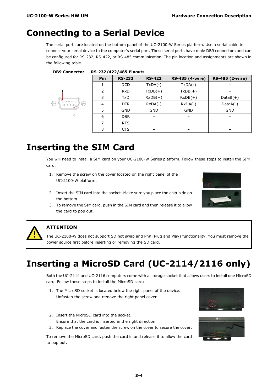# <span id="page-13-0"></span>**Connecting to a Serial Device**

**DB9 Connector RS-232/422/485 Pinouts**

The serial ports are located on the bottom panel of the UC-2100-W Series platform. Use a serial cable to connect your serial device to the computer's serial port. These serial ports have male DB9 connectors and can be configured for RS-232, RS-422, or RS-485 communication. The pin location and assignments are shown in the following table.

| Pin | <b>RS-232</b> | <b>RS-422</b> | <b>RS-485 (4-wire)</b> | <b>RS-485 (2-wire)</b> |
|-----|---------------|---------------|------------------------|------------------------|
|     | <b>DCD</b>    | $TxDA(-)$     | $TxDA(-)$              |                        |
| 2   | <b>RxD</b>    | $TxDB(+)$     | $TxDB(+)$              |                        |
| 3   | <b>TxD</b>    | $RxDB(+)$     | $RxDB(+)$              | $DataB(+)$             |
| 4   | <b>DTR</b>    | $RxDA(-)$     | $RxDA(-)$              | $DataA(-)$             |
| 5   | <b>GND</b>    | <b>GND</b>    | <b>GND</b>             | <b>GND</b>             |
| 6   | <b>DSR</b>    |               |                        |                        |
| 7   | <b>RTS</b>    |               |                        |                        |
| 8   | <b>CTS</b>    |               |                        |                        |

# <span id="page-13-1"></span>**Inserting the SIM Card**

You will need to install a SIM card on your UC-2100-W Series platform. Follow these steps to install the SIM card.

- 1. Remove the screw on the cover located on the right panel of the UC-2100-W platform.
- 2. Insert the SIM card into the socket. Make sure you place the chip-side on the bottom.
- 3. To remove the SIM card, push in the SIM card and then release it to allow the card to pop out.





### **ATTENTION**

The UC-2100-W does not support SD hot swap and PnP (Plug and Play) functionality. You must remove the power source first before inserting or removing the SD card.

# <span id="page-13-2"></span>**Inserting a MicroSD Card (UC-2114/2116 only)**

Both the UC-2114 and UC-2116 computers come with a storage socket that allows users to install one MicroSD card. Follow these steps to install the MicroSD card:

- 1. The MicroSD socket is located below the right panel of the device. Unfasten the screw and remove the right panel cover.
- 2. Insert the MicroSD card into the socket. Ensure that the card is inserted in the right direction.
- 3. Replace the cover and fasten the screw on the cover to secure the cover.

To remove the MicroSD card, push the card in and release it to allow the card to pop out.



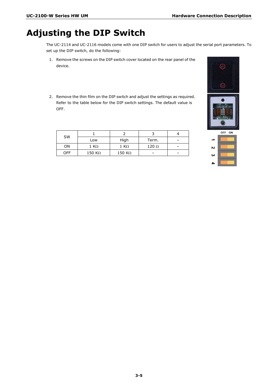# <span id="page-14-0"></span>**Adjusting the DIP Switch**

The UC-2114 and UC-2116 models come with one DIP switch for users to adjust the serial port parameters. To set up the DIP switch, do the following:

- 1. Remove the screws on the DIP switch cover located on the rear panel of the device.
- 2. Remove the thin film on the DIP switch and adjust the settings as required. Refer to the table below for the DIP switch settings. The default value is OFF.

| <b>SW</b>  |                |                |              |  |
|------------|----------------|----------------|--------------|--|
|            | Low            | High           | Term.        |  |
| ON         | 1 KΩ           | 1 KΩ           | $120 \Omega$ |  |
| <b>OFF</b> | 150 K $\Omega$ | 150 K $\Omega$ |              |  |